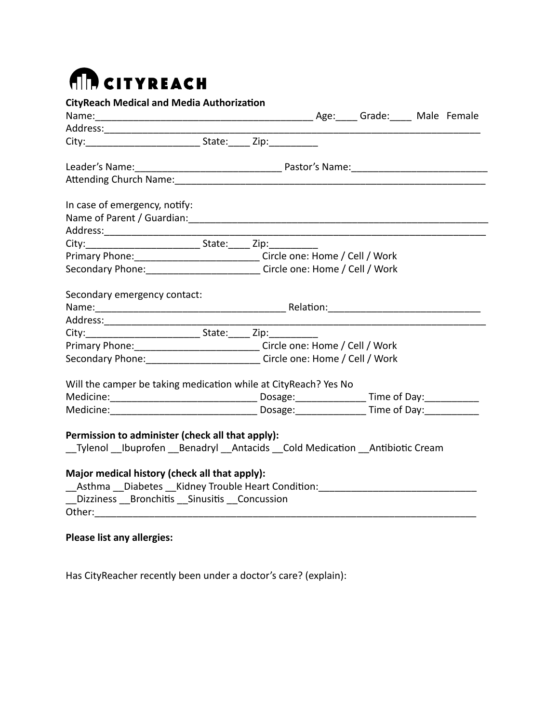## **AD CITYREACH**

| <b>CityReach Medical and Media Authorization</b>                                                                                                                                                                               |                                                                                                                                    |  |  |  |  |  |
|--------------------------------------------------------------------------------------------------------------------------------------------------------------------------------------------------------------------------------|------------------------------------------------------------------------------------------------------------------------------------|--|--|--|--|--|
| Name: Mame: Malle Female Manuscription Malle Female Manuscription Malle Female                                                                                                                                                 |                                                                                                                                    |  |  |  |  |  |
| City: 2008 2014 2015 State: 210 210:                                                                                                                                                                                           |                                                                                                                                    |  |  |  |  |  |
|                                                                                                                                                                                                                                |                                                                                                                                    |  |  |  |  |  |
|                                                                                                                                                                                                                                |                                                                                                                                    |  |  |  |  |  |
|                                                                                                                                                                                                                                |                                                                                                                                    |  |  |  |  |  |
| In case of emergency, notify:                                                                                                                                                                                                  |                                                                                                                                    |  |  |  |  |  |
|                                                                                                                                                                                                                                |                                                                                                                                    |  |  |  |  |  |
|                                                                                                                                                                                                                                |                                                                                                                                    |  |  |  |  |  |
|                                                                                                                                                                                                                                |                                                                                                                                    |  |  |  |  |  |
| Primary Phone: _________________________________Circle one: Home / Cell / Work                                                                                                                                                 |                                                                                                                                    |  |  |  |  |  |
| Secondary Phone: Circle one: Home / Cell / Work                                                                                                                                                                                |                                                                                                                                    |  |  |  |  |  |
| Secondary emergency contact:                                                                                                                                                                                                   |                                                                                                                                    |  |  |  |  |  |
|                                                                                                                                                                                                                                |                                                                                                                                    |  |  |  |  |  |
|                                                                                                                                                                                                                                |                                                                                                                                    |  |  |  |  |  |
|                                                                                                                                                                                                                                |                                                                                                                                    |  |  |  |  |  |
|                                                                                                                                                                                                                                |                                                                                                                                    |  |  |  |  |  |
|                                                                                                                                                                                                                                | Primary Phone: __________________________________Circle one: Home / Cell / Work<br>Secondary Phone: Circle one: Home / Cell / Work |  |  |  |  |  |
| Will the camper be taking medication while at CityReach? Yes No                                                                                                                                                                |                                                                                                                                    |  |  |  |  |  |
|                                                                                                                                                                                                                                |                                                                                                                                    |  |  |  |  |  |
| Medicine: Medicine: Medicine: Medicine: Medicine: Medicine: Medicine: Medicine: Medicine: Medicine: Medicine: Medicine: Medicine: Medicine: Medicine: Medicine: Medicine: Medicine: Medicine: Medicine: Medicine: Medicine: Me |                                                                                                                                    |  |  |  |  |  |
|                                                                                                                                                                                                                                |                                                                                                                                    |  |  |  |  |  |
| Permission to administer (check all that apply):                                                                                                                                                                               |                                                                                                                                    |  |  |  |  |  |
| __Tylenol __Ibuprofen __Benadryl __Antacids __Cold Medication __Antibiotic Cream                                                                                                                                               |                                                                                                                                    |  |  |  |  |  |
|                                                                                                                                                                                                                                |                                                                                                                                    |  |  |  |  |  |
| Major medical history (check all that apply):                                                                                                                                                                                  |                                                                                                                                    |  |  |  |  |  |
| Asthma Diabetes Kidney Trouble Heart Condition: Matcheson Matcheson Matcheson Matcheson                                                                                                                                        |                                                                                                                                    |  |  |  |  |  |
| _Dizziness __Bronchitis __Sinusitis __Concussion                                                                                                                                                                               |                                                                                                                                    |  |  |  |  |  |
|                                                                                                                                                                                                                                |                                                                                                                                    |  |  |  |  |  |
|                                                                                                                                                                                                                                |                                                                                                                                    |  |  |  |  |  |
| <b>Please list any allergies:</b>                                                                                                                                                                                              |                                                                                                                                    |  |  |  |  |  |

Has CityReacher recently been under a doctor's care? (explain):